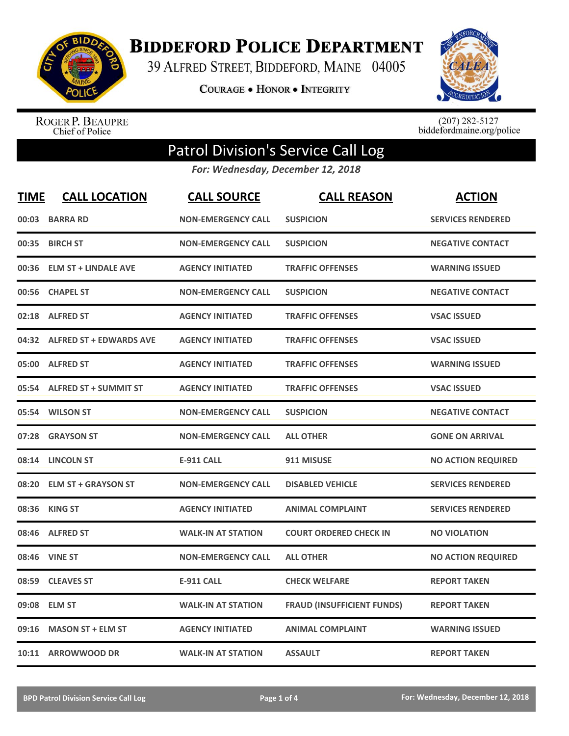

**BIDDEFORD POLICE DEPARTMENT** 

39 ALFRED STREET, BIDDEFORD, MAINE 04005

**COURAGE . HONOR . INTEGRITY** 



ROGER P. BEAUPRE<br>Chief of Police

 $(207)$  282-5127<br>biddefordmaine.org/police

## Patrol Division's Service Call Log

*For: Wednesday, December 12, 2018*

| <b>TIME</b> | <b>CALL LOCATION</b>          | <b>CALL SOURCE</b>        | <b>CALL REASON</b>                | <b>ACTION</b>             |
|-------------|-------------------------------|---------------------------|-----------------------------------|---------------------------|
| 00:03       | <b>BARRA RD</b>               | <b>NON-EMERGENCY CALL</b> | <b>SUSPICION</b>                  | <b>SERVICES RENDERED</b>  |
| 00:35       | <b>BIRCH ST</b>               | <b>NON-EMERGENCY CALL</b> | <b>SUSPICION</b>                  | <b>NEGATIVE CONTACT</b>   |
| 00:36       | <b>ELM ST + LINDALE AVE</b>   | <b>AGENCY INITIATED</b>   | <b>TRAFFIC OFFENSES</b>           | <b>WARNING ISSUED</b>     |
| 00:56       | <b>CHAPEL ST</b>              | <b>NON-EMERGENCY CALL</b> | <b>SUSPICION</b>                  | <b>NEGATIVE CONTACT</b>   |
| 02:18       | <b>ALFRED ST</b>              | <b>AGENCY INITIATED</b>   | <b>TRAFFIC OFFENSES</b>           | <b>VSAC ISSUED</b>        |
|             | 04:32 ALFRED ST + EDWARDS AVE | <b>AGENCY INITIATED</b>   | <b>TRAFFIC OFFENSES</b>           | <b>VSAC ISSUED</b>        |
| 05:00       | <b>ALFRED ST</b>              | <b>AGENCY INITIATED</b>   | <b>TRAFFIC OFFENSES</b>           | <b>WARNING ISSUED</b>     |
| 05:54       | <b>ALFRED ST + SUMMIT ST</b>  | <b>AGENCY INITIATED</b>   | <b>TRAFFIC OFFENSES</b>           | <b>VSAC ISSUED</b>        |
| 05:54       | <b>WILSON ST</b>              | <b>NON-EMERGENCY CALL</b> | <b>SUSPICION</b>                  | <b>NEGATIVE CONTACT</b>   |
| 07:28       | <b>GRAYSON ST</b>             | <b>NON-EMERGENCY CALL</b> | <b>ALL OTHER</b>                  | <b>GONE ON ARRIVAL</b>    |
|             | 08:14 LINCOLN ST              | <b>E-911 CALL</b>         | 911 MISUSE                        | <b>NO ACTION REQUIRED</b> |
|             | 08:20 ELM ST + GRAYSON ST     | <b>NON-EMERGENCY CALL</b> | <b>DISABLED VEHICLE</b>           | <b>SERVICES RENDERED</b>  |
| 08:36       | <b>KING ST</b>                | <b>AGENCY INITIATED</b>   | <b>ANIMAL COMPLAINT</b>           | <b>SERVICES RENDERED</b>  |
| 08:46       | <b>ALFRED ST</b>              | <b>WALK-IN AT STATION</b> | <b>COURT ORDERED CHECK IN</b>     | <b>NO VIOLATION</b>       |
| 08:46       | <b>VINE ST</b>                | <b>NON-EMERGENCY CALL</b> | <b>ALL OTHER</b>                  | <b>NO ACTION REQUIRED</b> |
| 08:59       | <b>CLEAVES ST</b>             | <b>E-911 CALL</b>         | <b>CHECK WELFARE</b>              | <b>REPORT TAKEN</b>       |
| 09:08       | <b>ELM ST</b>                 | <b>WALK-IN AT STATION</b> | <b>FRAUD (INSUFFICIENT FUNDS)</b> | <b>REPORT TAKEN</b>       |
| 09:16       | <b>MASON ST + ELM ST</b>      | <b>AGENCY INITIATED</b>   | <b>ANIMAL COMPLAINT</b>           | <b>WARNING ISSUED</b>     |
|             | 10:11 ARROWWOOD DR            | <b>WALK-IN AT STATION</b> | <b>ASSAULT</b>                    | <b>REPORT TAKEN</b>       |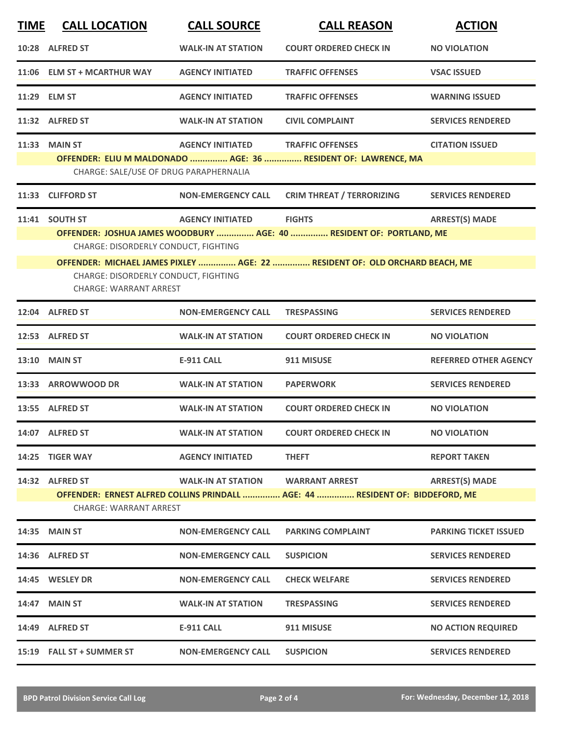| <b>TIME</b> | <b>CALL LOCATION</b>                                                                                                            | <b>CALL SOURCE</b>        | <b>CALL REASON</b>                                                                                                                                                  | <b>ACTION</b>                |
|-------------|---------------------------------------------------------------------------------------------------------------------------------|---------------------------|---------------------------------------------------------------------------------------------------------------------------------------------------------------------|------------------------------|
|             | 10:28 ALFRED ST                                                                                                                 | <b>WALK-IN AT STATION</b> | <b>COURT ORDERED CHECK IN</b>                                                                                                                                       | <b>NO VIOLATION</b>          |
|             | 11:06 ELM ST + MCARTHUR WAY                                                                                                     | <b>AGENCY INITIATED</b>   | <b>TRAFFIC OFFENSES</b>                                                                                                                                             | <b>VSAC ISSUED</b>           |
|             | 11:29 ELM ST                                                                                                                    | <b>AGENCY INITIATED</b>   | <b>TRAFFIC OFFENSES</b>                                                                                                                                             | <b>WARNING ISSUED</b>        |
|             | 11:32 ALFRED ST                                                                                                                 | <b>WALK-IN AT STATION</b> | <b>CIVIL COMPLAINT</b>                                                                                                                                              | <b>SERVICES RENDERED</b>     |
|             | 11:33 MAIN ST<br>CHARGE: SALE/USE OF DRUG PARAPHERNALIA                                                                         | <b>AGENCY INITIATED</b>   | <b>TRAFFIC OFFENSES</b><br>OFFENDER: ELIU M MALDONADO  AGE: 36  RESIDENT OF: LAWRENCE, MA                                                                           | <b>CITATION ISSUED</b>       |
|             | 11:33 CLIFFORD ST                                                                                                               | <b>NON-EMERGENCY CALL</b> | <b>CRIM THREAT / TERRORIZING</b>                                                                                                                                    | <b>SERVICES RENDERED</b>     |
|             | 11:41 SOUTH ST<br>CHARGE: DISORDERLY CONDUCT, FIGHTING<br>CHARGE: DISORDERLY CONDUCT, FIGHTING<br><b>CHARGE: WARRANT ARREST</b> | <b>AGENCY INITIATED</b>   | <b>FIGHTS</b><br>OFFENDER: JOSHUA JAMES WOODBURY  AGE: 40  RESIDENT OF: PORTLAND, ME<br>OFFENDER: MICHAEL JAMES PIXLEY  AGE: 22  RESIDENT OF: OLD ORCHARD BEACH, ME | <b>ARREST(S) MADE</b>        |
|             | 12:04 ALFRED ST                                                                                                                 | <b>NON-EMERGENCY CALL</b> | <b>TRESPASSING</b>                                                                                                                                                  | <b>SERVICES RENDERED</b>     |
|             | 12:53 ALFRED ST                                                                                                                 | <b>WALK-IN AT STATION</b> | <b>COURT ORDERED CHECK IN</b>                                                                                                                                       | <b>NO VIOLATION</b>          |
|             | 13:10 MAIN ST                                                                                                                   | <b>E-911 CALL</b>         | 911 MISUSE                                                                                                                                                          | <b>REFERRED OTHER AGENCY</b> |
|             | 13:33 ARROWWOOD DR                                                                                                              | <b>WALK-IN AT STATION</b> | <b>PAPERWORK</b>                                                                                                                                                    | <b>SERVICES RENDERED</b>     |
|             | 13:55 ALFRED ST                                                                                                                 | <b>WALK-IN AT STATION</b> | <b>COURT ORDERED CHECK IN</b>                                                                                                                                       | <b>NO VIOLATION</b>          |
|             | 14:07 ALFRED ST                                                                                                                 | <b>WALK-IN AT STATION</b> | <b>COURT ORDERED CHECK IN</b>                                                                                                                                       | <b>NO VIOLATION</b>          |
|             | 14:25 TIGER WAY                                                                                                                 | <b>AGENCY INITIATED</b>   | <b>THEFT</b>                                                                                                                                                        | <b>REPORT TAKEN</b>          |
|             | 14:32 ALFRED ST<br><b>CHARGE: WARRANT ARREST</b>                                                                                | <b>WALK-IN AT STATION</b> | <b>WARRANT ARREST</b><br>OFFENDER: ERNEST ALFRED COLLINS PRINDALL  AGE: 44  RESIDENT OF: BIDDEFORD, ME                                                              | <b>ARREST(S) MADE</b>        |
|             | 14:35 MAIN ST                                                                                                                   | <b>NON-EMERGENCY CALL</b> | <b>PARKING COMPLAINT</b>                                                                                                                                            | <b>PARKING TICKET ISSUED</b> |
|             | 14:36 ALFRED ST                                                                                                                 | <b>NON-EMERGENCY CALL</b> | <b>SUSPICION</b>                                                                                                                                                    | <b>SERVICES RENDERED</b>     |
|             | 14:45 WESLEY DR                                                                                                                 | <b>NON-EMERGENCY CALL</b> | <b>CHECK WELFARE</b>                                                                                                                                                | <b>SERVICES RENDERED</b>     |
| 14:47       | <b>MAIN ST</b>                                                                                                                  | <b>WALK-IN AT STATION</b> | <b>TRESPASSING</b>                                                                                                                                                  | <b>SERVICES RENDERED</b>     |
|             | 14:49 ALFRED ST                                                                                                                 | <b>E-911 CALL</b>         | 911 MISUSE                                                                                                                                                          | <b>NO ACTION REQUIRED</b>    |
|             | 15:19 FALL ST + SUMMER ST                                                                                                       | <b>NON-EMERGENCY CALL</b> | <b>SUSPICION</b>                                                                                                                                                    | <b>SERVICES RENDERED</b>     |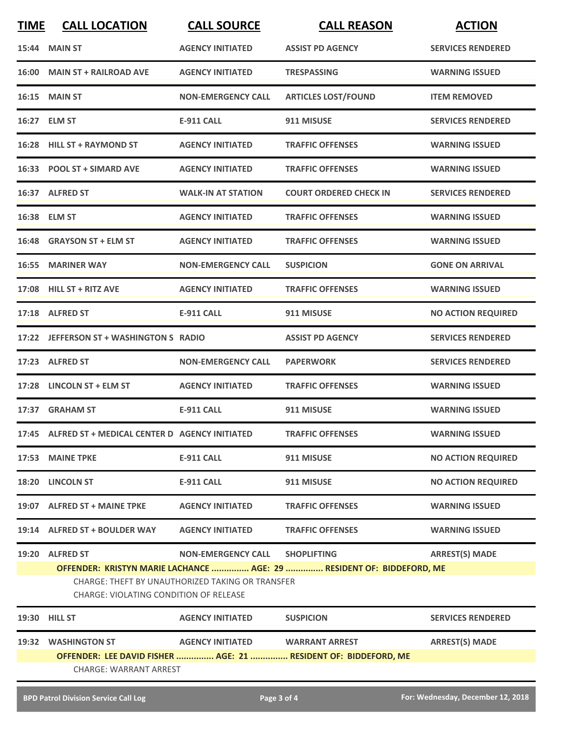| <b>TIME</b>                                                                                       | <b>CALL LOCATION</b>                                | <b>CALL SOURCE</b>              | <b>CALL REASON</b>                                                    | <b>ACTION</b>                     |  |
|---------------------------------------------------------------------------------------------------|-----------------------------------------------------|---------------------------------|-----------------------------------------------------------------------|-----------------------------------|--|
|                                                                                                   | <b>15:44 MAIN ST</b>                                | <b>AGENCY INITIATED</b>         | <b>ASSIST PD AGENCY</b>                                               | <b>SERVICES RENDERED</b>          |  |
|                                                                                                   | 16:00 MAIN ST + RAILROAD AVE                        | <b>AGENCY INITIATED</b>         | <b>TRESPASSING</b>                                                    | <b>WARNING ISSUED</b>             |  |
|                                                                                                   | <b>16:15 MAIN ST</b>                                | <b>NON-EMERGENCY CALL</b>       | <b>ARTICLES LOST/FOUND</b>                                            | <b>ITEM REMOVED</b>               |  |
|                                                                                                   | 16:27 ELM ST                                        | E-911 CALL                      | 911 MISUSE                                                            | <b>SERVICES RENDERED</b>          |  |
|                                                                                                   | 16:28 HILL ST + RAYMOND ST                          | <b>AGENCY INITIATED</b>         | <b>TRAFFIC OFFENSES</b>                                               | <b>WARNING ISSUED</b>             |  |
|                                                                                                   | 16:33 POOL ST + SIMARD AVE                          | <b>AGENCY INITIATED</b>         | <b>TRAFFIC OFFENSES</b>                                               | <b>WARNING ISSUED</b>             |  |
|                                                                                                   | 16:37 ALFRED ST                                     | <b>WALK-IN AT STATION</b>       | <b>COURT ORDERED CHECK IN</b>                                         | <b>SERVICES RENDERED</b>          |  |
|                                                                                                   | 16:38 ELM ST                                        | <b>AGENCY INITIATED</b>         | <b>TRAFFIC OFFENSES</b>                                               | <b>WARNING ISSUED</b>             |  |
|                                                                                                   | 16:48 GRAYSON ST + ELM ST                           | <b>AGENCY INITIATED</b>         | <b>TRAFFIC OFFENSES</b>                                               | <b>WARNING ISSUED</b>             |  |
|                                                                                                   | <b>16:55 MARINER WAY</b>                            | <b>NON-EMERGENCY CALL</b>       | <b>SUSPICION</b>                                                      | <b>GONE ON ARRIVAL</b>            |  |
|                                                                                                   | 17:08 HILL ST + RITZ AVE                            | <b>AGENCY INITIATED</b>         | <b>TRAFFIC OFFENSES</b>                                               | <b>WARNING ISSUED</b>             |  |
|                                                                                                   | 17:18 ALFRED ST                                     | <b>E-911 CALL</b>               | 911 MISUSE                                                            | <b>NO ACTION REQUIRED</b>         |  |
|                                                                                                   | 17:22 JEFFERSON ST + WASHINGTON S RADIO             |                                 | <b>ASSIST PD AGENCY</b>                                               | <b>SERVICES RENDERED</b>          |  |
|                                                                                                   | 17:23 ALFRED ST                                     | <b>NON-EMERGENCY CALL</b>       | <b>PAPERWORK</b>                                                      | <b>SERVICES RENDERED</b>          |  |
|                                                                                                   | 17:28 LINCOLN ST + ELM ST                           | <b>AGENCY INITIATED</b>         | <b>TRAFFIC OFFENSES</b>                                               | <b>WARNING ISSUED</b>             |  |
|                                                                                                   | 17:37 GRAHAM ST                                     | <b>E-911 CALL</b>               | 911 MISUSE                                                            | <b>WARNING ISSUED</b>             |  |
|                                                                                                   | 17:45 ALFRED ST + MEDICAL CENTER D AGENCY INITIATED |                                 | <b>TRAFFIC OFFENSES</b>                                               | <b>WARNING ISSUED</b>             |  |
|                                                                                                   | 17:53 MAINE TPKE                                    | <b>E-911 CALL</b>               | 911 MISUSE                                                            | <b>NO ACTION REQUIRED</b>         |  |
|                                                                                                   | 18:20 LINCOLN ST                                    | <b>E-911 CALL</b>               | 911 MISUSE                                                            | <b>NO ACTION REQUIRED</b>         |  |
|                                                                                                   | 19:07 ALFRED ST + MAINE TPKE                        | <b>AGENCY INITIATED</b>         | <b>TRAFFIC OFFENSES</b>                                               | <b>WARNING ISSUED</b>             |  |
|                                                                                                   | 19:14 ALFRED ST + BOULDER WAY                       | <b>AGENCY INITIATED</b>         | <b>TRAFFIC OFFENSES</b>                                               | <b>WARNING ISSUED</b>             |  |
|                                                                                                   | 19:20 ALFRED ST                                     | NON-EMERGENCY CALL SHOPLIFTING  |                                                                       | <b>ARREST(S) MADE</b>             |  |
|                                                                                                   |                                                     |                                 | OFFENDER: KRISTYN MARIE LACHANCE  AGE: 29  RESIDENT OF: BIDDEFORD, ME |                                   |  |
| CHARGE: THEFT BY UNAUTHORIZED TAKING OR TRANSFER<br><b>CHARGE: VIOLATING CONDITION OF RELEASE</b> |                                                     |                                 |                                                                       |                                   |  |
|                                                                                                   | <b>19:30 HILL ST</b>                                | <b>AGENCY INITIATED</b>         | <b>SUSPICION</b>                                                      | <b>SERVICES RENDERED</b>          |  |
|                                                                                                   | 19:32 WASHINGTON ST                                 | AGENCY INITIATED WARRANT ARREST |                                                                       | <b>ARREST(S) MADE</b>             |  |
|                                                                                                   |                                                     |                                 | OFFENDER: LEE DAVID FISHER  AGE: 21  RESIDENT OF: BIDDEFORD, ME       |                                   |  |
|                                                                                                   | CHARGE: WARRANT ARREST                              |                                 |                                                                       |                                   |  |
|                                                                                                   | <b>BPD Patrol Division Service Call Log</b>         | Page 3 of 4                     |                                                                       | For: Wednesday, December 12, 2018 |  |